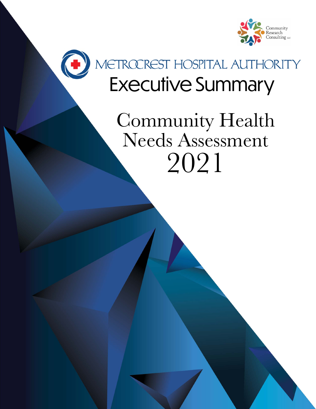

# METROCREST HOSPITAL AUTHORITY<br>Executive Summary

C

### 2021 Community Health Needs Assessment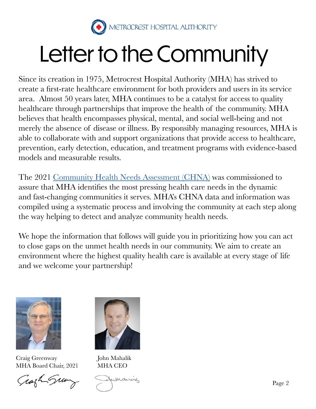

## Letter to the Community

Since its creation in 1975, Metrocrest Hospital Authority (MHA) has strived to create a first-rate healthcare environment for both providers and users in its service area. Almost 50 years later, MHA continues to be a catalyst for access to quality healthcare through partnerships that improve the health of the community. MHA believes that health encompasses physical, mental, and social well-being and not merely the absence of disease or illness. By responsibly managing resources, MHA is able to collaborate with and support organizations that provide access to healthcare, prevention, early detection, education, and treatment programs with evidence-based models and measurable results.

The 2021 [Community Health Needs Assessment \(CHNA\)](https://www.mhatx.org/_files/ugd/7221a4_2e619fcbd6dd4546afa1708438cc9bfb.pdf) was commissioned to assure that MHA identifies the most pressing health care needs in the dynamic and fast-changing communities it serves. MHA's CHNA data and information was compiled using a systematic process and involving the community at each step along the way helping to detect and analyze community health needs.

We hope the information that follows will guide you in prioritizing how you can act to close gaps on the unmet health needs in our community. We aim to create an environment where the highest quality health care is available at every stage of life and we welcome your partnership!



Craig Greenway MHA Board Chair, 2021

Grazh Sun



John Mahalik MHA CEO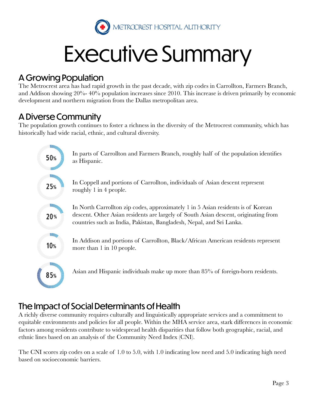

## Executive Summary

#### A Growing Population

The Metrocrest area has had rapid growth in the past decade, with zip codes in Carrollton, Farmers Branch, and Addison showing 20%- 40% population increases since 2010. This increase is driven primarily by economic development and northern migration from the Dallas metropolitan area.

#### A Diverse Community

The population growth continues to foster a richness in the diversity of the Metrocrest community, which has historically had wide racial, ethnic, and cultural diversity.



#### The Impact of Social Determinants of Health

A richly diverse community requires culturally and linguistically appropriate services and a commitment to equitable environments and policies for all people. Within the MHA service area, stark differences in economic factors among residents contribute to widespread health disparities that follow both geographic, racial, and ethnic lines based on an analysis of the Community Need Index (CNI).

The CNI scores zip codes on a scale of 1.0 to 5.0, with 1.0 indicating low need and 5.0 indicating high need based on socioeconomic barriers.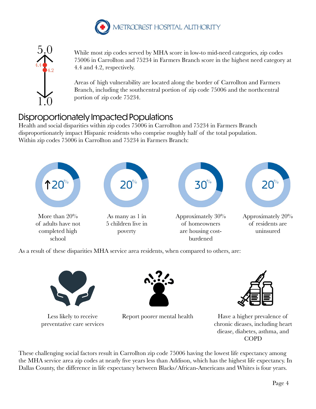



While most zip codes served by MHA score in low-to mid-need categories, zip codes 75006 in Carrollton and 75234 in Farmers Branch score in the highest need category at 4.4 and 4.2, respectively.

Areas of high vulnerability are located along the border of Carrollton and Farmers Branch, including the southcentral portion of zip code 75006 and the northcentral portion of zip code 75234.

#### Disproportionately Impacted Populations

Health and social disparities within zip codes 75006 in Carrollton and 75234 in Farmers Branch disproportionately impact Hispanic residents who comprise roughly half of the total population. Within zip codes 75006 in Carrollton and 75234 in Farmers Branch:



As a result of these disparities MHA service area residents, when compared to others, are:



Less likely to receive preventative care services





Report poorer mental health Have a higher prevalence of chronic dieases, including heart diease, diabetes, asthma, and COPD

These challenging social factors result in Carrollton zip code 75006 having the lowest life expectancy among the MHA service area zip codes at nearly five years less than Addison, which has the highest life expectancy. In Dallas County, the difference in life expectancy between Blacks/African-Americans and Whites is four years.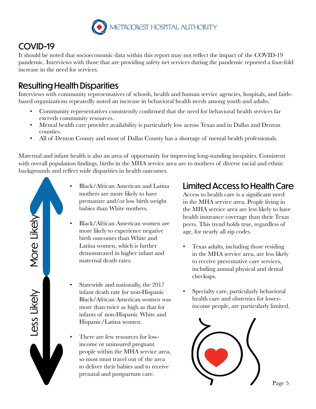

#### COVID-19

It should be noted that socioeconomic data within this report may not reflect the impact of the COVID-19 pandemic. Interviews with those that are providing safety net services during the pandemic reported a four-fold increase in the need for services.

#### Resulting Health Disparities

Interviews with community representatives of schools, health and human service agencies, hospitals, and faithbased organizations repeatedly noted an increase in behavioral health needs among youth and adults.

- Community representatives consistently confirmed that the need for behavioral health services far exceeds community resources.
- Mental health care provider availability is particularly low across Texas and in Dallas and Denton counties.
- All of Denton County and most of Dallas County has a shortage of mental health professionals.

Maternal and infant health is also an area of opportunity for improving long-standing inequities. Consistent with overall population findings, births in the MHA service area are to mothers of diverse racial and ethnic backgrounds and reflect wide disparities in health outcomes.

- More Likely More Likely Less Likely
	- Black/African American and Latina mothers are more likely to have premature and/or low birth weight babies than White mothers.
	- Black/African American women are more likely to experience negative birth outcomes than White and Latina women, which is further demonstrated in higher infant and maternal death rates.
	- Statewide and nationally, the 2017 infant death rate for non-Hispanic Black/African American women was more than twice as high as that for infants of non-Hispanic White and Hispanic/Latina women.
	- There are few resources for lowincome or uninsured pregnant people within the MHA service area, so most must travel out of the area to deliver their babies and to receive prenatal and postpartum care.

#### Limited Access to Health Care

Access to health care is a significant need in the MHA service area. People living in the MHA service area are less likely to have health insurance coverage than their Texas peers. This trend holds true, regardless of age, for nearly all zip codes.

- Texas adults, including those residing in the MHA service area, are less likely to receive preventative care services, including annual physical and dental checkups.
- Specialty care, particularly behavioral health care and obstetrics for lowerincome people, are particularly limited.



Page 5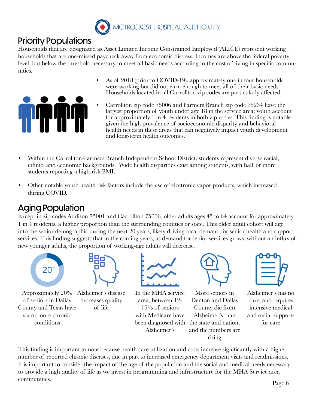

#### Priority Populations

Households that are designated as Asset Limited Income Constrained Employed (ALICE) represent working households that are one-missed paycheck away from economic distress. Incomes are above the federal poverty level, but below the threshold necessary to meet all basic needs according to the cost of living in specific communities.



- As of 2018 (prior to COVID-19), approximately one in four households were working but did not earn enough to meet all of their basic needs. Households located in all Carrollton zip codes are particularly affected.
- Carrollton zip code 75006 and Farmers Branch zip code 75234 have the largest proportion of youth under age 18 in the service area; youth account for approximately 1 in 4 residents in both zip codes. This finding is notable given the high prevalence of socioeconomic disparity and behavioral health needs in these areas that can negatively impact youth development and long-term health outcomes.
- Within the Carrollton-Farmers Branch Independent School District, students represent diverse racial, ethnic, and economic backgrounds. Wide health disparities exist among students, with half or more students reporting a high-risk BMI.
- Other notable youth health risk factors include the use of electronic vapor products, which increased during COVID.

#### Aging Population

Except in zip codes Addison 75001 and Carrollton 75006, older adults ages 45 to 64 account for approximately 1 in 4 residents, a higher proportion than the surrounding counties or state. This older adult cohort will age into the senior demographic during the next 20 years, likely driving local demand for senior health and support services. This finding suggests that in the coming years, as demand for senior services grows, without an influx of new younger adults, the proportion of working-age adults will decrease.





Approximately 20% of seniors in Dallas County and Texas have six or more chronic conditions

Alzheimer's disease decreases quality of life



In the MHA service area, between 12- 15% of seniors with Medicare have Alzheimer's



been diagnosed with the state and nation, More seniors in Denton and Dallas County die from Alzheimer's than and the numbers are rising



Alzheimer's has no cure, and requires intensive medical and social supports for care

This finding is important to note because health care utilization and costs increase significantly with a higher number of reported chronic diseases, due in part to increased emergency department visits and readmissions. It is important to consider the impact of the age of the population and the social and medical needs necessary to provide a high quality of life as we invest in programming and infrastructure for the MHA Service area communities.